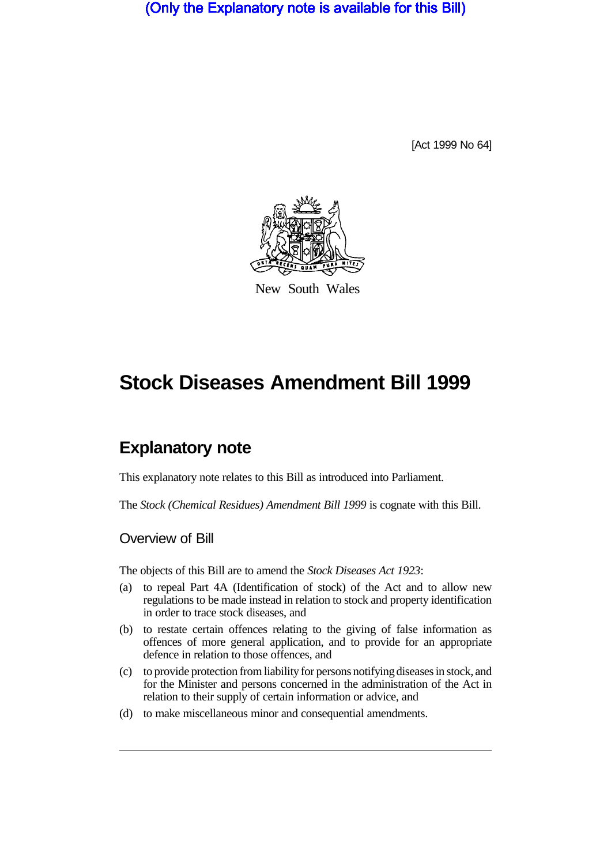(Only the Explanatory note is available for this Bill)

[Act 1999 No 64]



New South Wales

# **Stock Diseases Amendment Bill 1999**

# **Explanatory note**

This explanatory note relates to this Bill as introduced into Parliament.

The *Stock (Chemical Residues) Amendment Bill 1999* is cognate with this Bill.

Overview of Bill

The objects of this Bill are to amend the *Stock Diseases Act 1923*:

- (a) to repeal Part 4A (Identification of stock) of the Act and to allow new regulations to be made instead in relation to stock and property identification in order to trace stock diseases, and
- (b) to restate certain offences relating to the giving of false information as offences of more general application, and to provide for an appropriate defence in relation to those offences, and
- (c) to provide protection from liability for persons notifying diseases in stock, and for the Minister and persons concerned in the administration of the Act in relation to their supply of certain information or advice, and
- (d) to make miscellaneous minor and consequential amendments.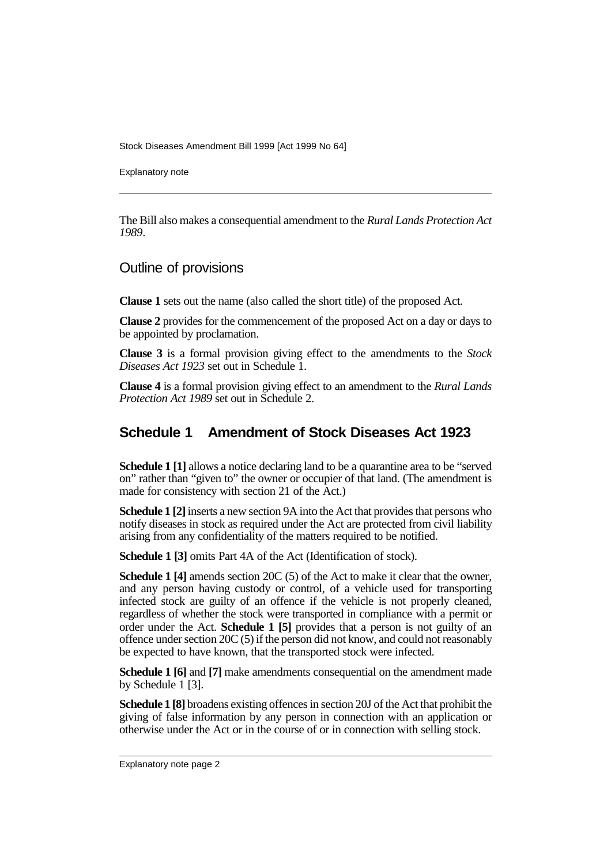Stock Diseases Amendment Bill 1999 [Act 1999 No 64]

Explanatory note

The Bill also makes a consequential amendment to the *Rural Lands Protection Act 1989*.

#### Outline of provisions

**Clause 1** sets out the name (also called the short title) of the proposed Act.

**Clause 2** provides for the commencement of the proposed Act on a day or days to be appointed by proclamation.

**Clause 3** is a formal provision giving effect to the amendments to the *Stock Diseases Act 1923* set out in Schedule 1.

**Clause 4** is a formal provision giving effect to an amendment to the *Rural Lands Protection Act 1989* set out in Schedule 2.

## **Schedule 1 Amendment of Stock Diseases Act 1923**

**Schedule 1 [1]** allows a notice declaring land to be a quarantine area to be "served" on" rather than "given to" the owner or occupier of that land. (The amendment is made for consistency with section 21 of the Act.)

**Schedule 1 [2]** inserts a new section 9A into the Act that provides that persons who notify diseases in stock as required under the Act are protected from civil liability arising from any confidentiality of the matters required to be notified.

**Schedule 1 [3]** omits Part 4A of the Act (Identification of stock).

**Schedule 1 [4]** amends section 20C (5) of the Act to make it clear that the owner, and any person having custody or control, of a vehicle used for transporting infected stock are guilty of an offence if the vehicle is not properly cleaned, regardless of whether the stock were transported in compliance with a permit or order under the Act. **Schedule 1 [5]** provides that a person is not guilty of an offence under section 20C (5) if the person did not know, and could not reasonably be expected to have known, that the transported stock were infected.

**Schedule 1 [6]** and **[7]** make amendments consequential on the amendment made by Schedule 1 [3].

**Schedule 1 [8]** broadens existing offences in section 20J of the Act that prohibit the giving of false information by any person in connection with an application or otherwise under the Act or in the course of or in connection with selling stock.

Explanatory note page 2